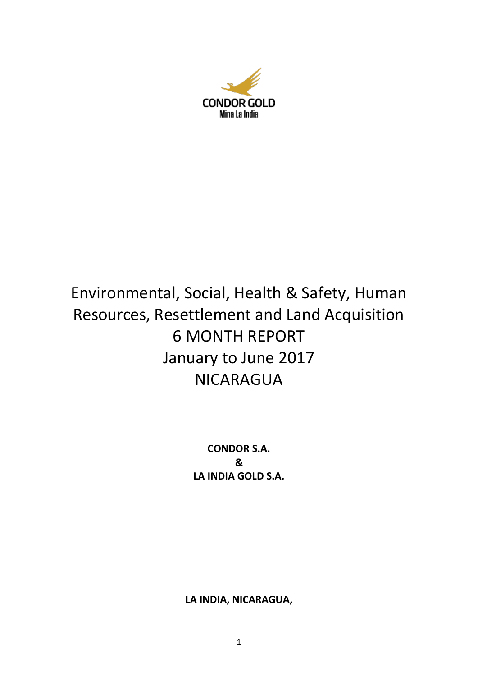

# Environmental, Social, Health & Safety, Human Resources, Resettlement and Land Acquisition 6 MONTH REPORT January to June 2017 NICARAGUA

**CONDOR S.A. & LA INDIA GOLD S.A.**

**LA INDIA, NICARAGUA,**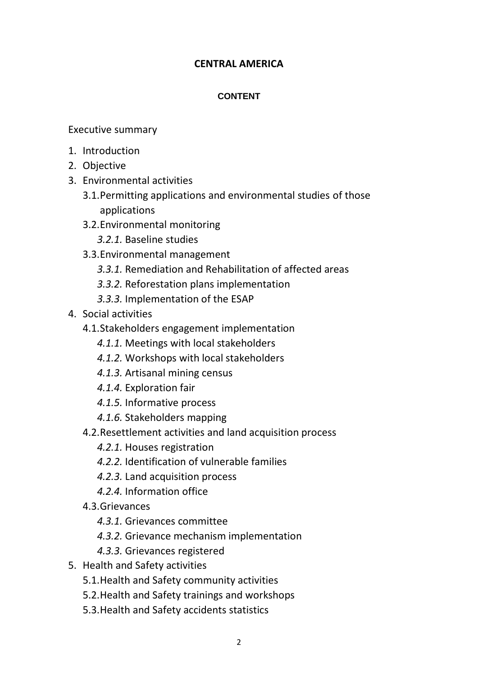# **CENTRAL AMERICA**

# **CONTENT**

Executive summary

- 1. Introduction
- 2. Objective
- 3. Environmental activities
	- 3.1.Permitting applications and environmental studies of those applications
	- 3.2.Environmental monitoring
		- *3.2.1.* Baseline studies
	- 3.3.Environmental management
		- *3.3.1.* Remediation and Rehabilitation of affected areas
		- *3.3.2.* Reforestation plans implementation
		- *3.3.3.* Implementation of the ESAP
- 4. Social activities
	- 4.1.Stakeholders engagement implementation
		- *4.1.1.* Meetings with local stakeholders
		- *4.1.2.* Workshops with local stakeholders
		- *4.1.3.* Artisanal mining census
		- *4.1.4.* Exploration fair
		- *4.1.5.* Informative process
		- *4.1.6.* Stakeholders mapping
	- 4.2.Resettlement activities and land acquisition process
		- *4.2.1.* Houses registration
		- *4.2.2.* Identification of vulnerable families
		- *4.2.3.* Land acquisition process
		- *4.2.4.* Information office
	- 4.3.Grievances
		- *4.3.1.* Grievances committee
		- *4.3.2.* Grievance mechanism implementation
		- *4.3.3.* Grievances registered
- 5. Health and Safety activities
	- 5.1.Health and Safety community activities
	- 5.2.Health and Safety trainings and workshops
	- 5.3.Health and Safety accidents statistics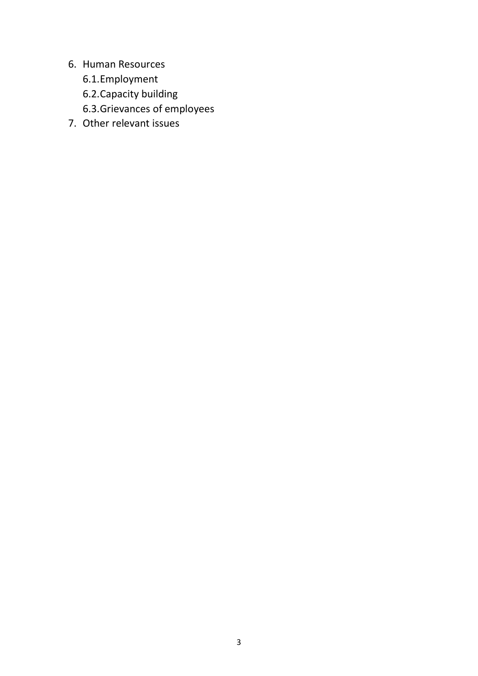- 6. Human Resources
	- 6.1.Employment
	- 6.2.Capacity building
	- 6.3.Grievances of employees
- 7. Other relevant issues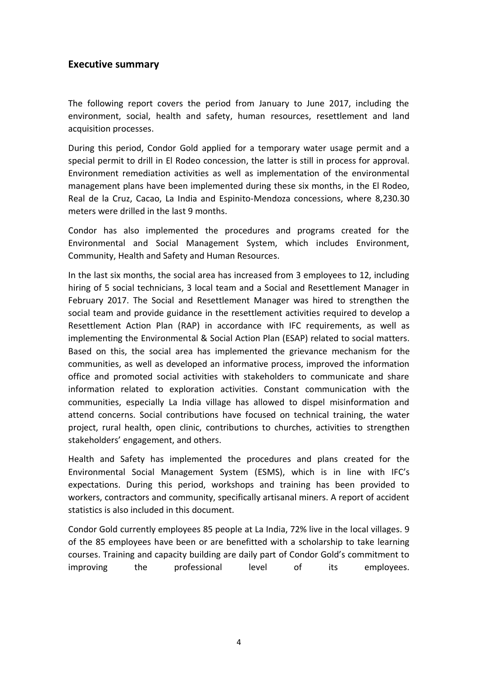# **Executive summary**

The following report covers the period from January to June 2017, including the environment, social, health and safety, human resources, resettlement and land acquisition processes.

During this period, Condor Gold applied for a temporary water usage permit and a special permit to drill in El Rodeo concession, the latter is still in process for approval. Environment remediation activities as well as implementation of the environmental management plans have been implemented during these six months, in the El Rodeo, Real de la Cruz, Cacao, La India and Espinito-Mendoza concessions, where 8,230.30 meters were drilled in the last 9 months.

Condor has also implemented the procedures and programs created for the Environmental and Social Management System, which includes Environment, Community, Health and Safety and Human Resources.

In the last six months, the social area has increased from 3 employees to 12, including hiring of 5 social technicians, 3 local team and a Social and Resettlement Manager in February 2017. The Social and Resettlement Manager was hired to strengthen the social team and provide guidance in the resettlement activities required to develop a Resettlement Action Plan (RAP) in accordance with IFC requirements, as well as implementing the Environmental & Social Action Plan (ESAP) related to social matters. Based on this, the social area has implemented the grievance mechanism for the communities, as well as developed an informative process, improved the information office and promoted social activities with stakeholders to communicate and share information related to exploration activities. Constant communication with the communities, especially La India village has allowed to dispel misinformation and attend concerns. Social contributions have focused on technical training, the water project, rural health, open clinic, contributions to churches, activities to strengthen stakeholders' engagement, and others.

Health and Safety has implemented the procedures and plans created for the Environmental Social Management System (ESMS), which is in line with IFC's expectations. During this period, workshops and training has been provided to workers, contractors and community, specifically artisanal miners. A report of accident statistics is also included in this document.

Condor Gold currently employees 85 people at La India, 72% live in the local villages. 9 of the 85 employees have been or are benefitted with a scholarship to take learning courses. Training and capacity building are daily part of Condor Gold's commitment to improving the professional level of its employees.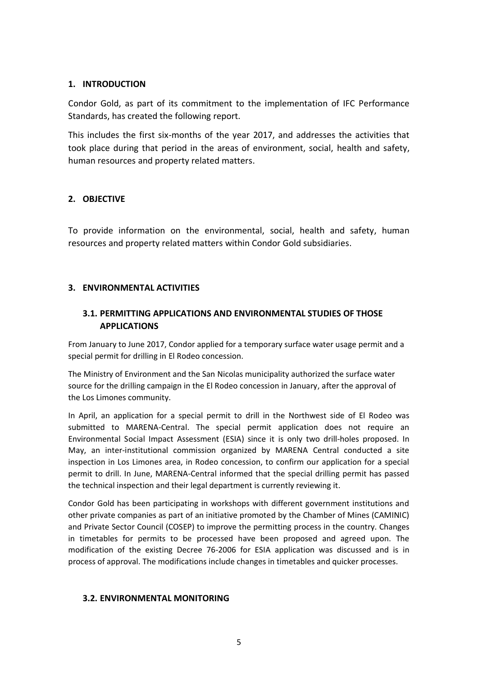#### **1. INTRODUCTION**

Condor Gold, as part of its commitment to the implementation of IFC Performance Standards, has created the following report.

This includes the first six-months of the year 2017, and addresses the activities that took place during that period in the areas of environment, social, health and safety, human resources and property related matters.

# **2. OBJECTIVE**

To provide information on the environmental, social, health and safety, human resources and property related matters within Condor Gold subsidiaries.

#### **3. ENVIRONMENTAL ACTIVITIES**

# **3.1. PERMITTING APPLICATIONS AND ENVIRONMENTAL STUDIES OF THOSE APPLICATIONS**

From January to June 2017, Condor applied for a temporary surface water usage permit and a special permit for drilling in El Rodeo concession.

The Ministry of Environment and the San Nicolas municipality authorized the surface water source for the drilling campaign in the El Rodeo concession in January, after the approval of the Los Limones community.

In April, an application for a special permit to drill in the Northwest side of El Rodeo was submitted to MARENA-Central. The special permit application does not require an Environmental Social Impact Assessment (ESIA) since it is only two drill-holes proposed. In May, an inter-institutional commission organized by MARENA Central conducted a site inspection in Los Limones area, in Rodeo concession, to confirm our application for a special permit to drill. In June, MARENA-Central informed that the special drilling permit has passed the technical inspection and their legal department is currently reviewing it.

Condor Gold has been participating in workshops with different government institutions and other private companies as part of an initiative promoted by the Chamber of Mines (CAMINIC) and Private Sector Council (COSEP) to improve the permitting process in the country. Changes in timetables for permits to be processed have been proposed and agreed upon. The modification of the existing Decree 76-2006 for ESIA application was discussed and is in process of approval. The modifications include changes in timetables and quicker processes.

#### **3.2. ENVIRONMENTAL MONITORING**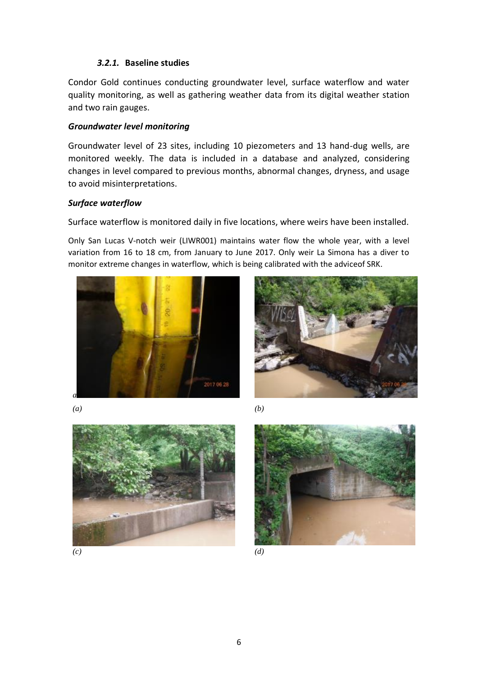# *3.2.1.* **Baseline studies**

Condor Gold continues conducting groundwater level, surface waterflow and water quality monitoring, as well as gathering weather data from its digital weather station and two rain gauges.

# *Groundwater level monitoring*

Groundwater level of 23 sites, including 10 piezometers and 13 hand-dug wells, are monitored weekly. The data is included in a database and analyzed, considering changes in level compared to previous months, abnormal changes, dryness, and usage to avoid misinterpretations.

# *Surface waterflow*

Surface waterflow is monitored daily in five locations, where weirs have been installed.

Only San Lucas V-notch weir (LIWR001) maintains water flow the whole year, with a level variation from 16 to 18 cm, from January to June 2017. Only weir La Simona has a diver to monitor extreme changes in waterflow, which is being calibrated with the adviceof SRK.



*(a) (b)*





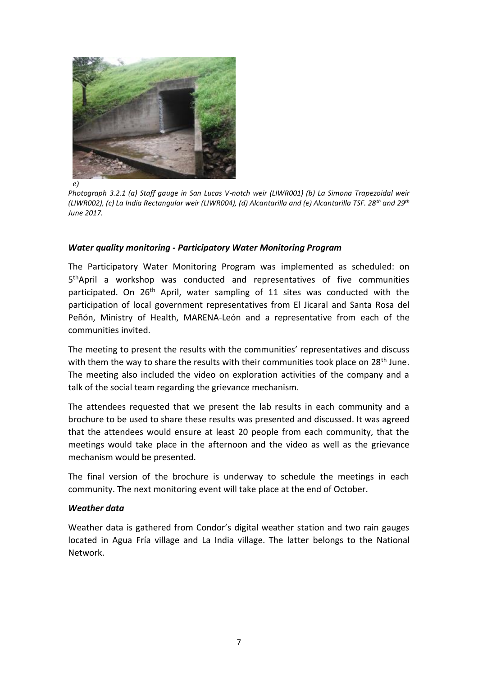

*e)*

*Photograph 3.2.1 (a) Staff gauge in San Lucas V-notch weir (LIWR001) (b) La Simona Trapezoidal weir (LIWR002), (c) La India Rectangular weir (LIWR004), (d) Alcantarilla and (e) Alcantarilla TSF. 28th and 29th June 2017.* 

# *Water quality monitoring - Participatory Water Monitoring Program*

The Participatory Water Monitoring Program was implemented as scheduled: on 5<sup>th</sup>April a workshop was conducted and representatives of five communities participated. On 26<sup>th</sup> April, water sampling of 11 sites was conducted with the participation of local government representatives from El Jicaral and Santa Rosa del Peñón, Ministry of Health, MARENA-León and a representative from each of the communities invited.

The meeting to present the results with the communities' representatives and discuss with them the way to share the results with their communities took place on 28<sup>th</sup> June. The meeting also included the video on exploration activities of the company and a talk of the social team regarding the grievance mechanism.

The attendees requested that we present the lab results in each community and a brochure to be used to share these results was presented and discussed. It was agreed that the attendees would ensure at least 20 people from each community, that the meetings would take place in the afternoon and the video as well as the grievance mechanism would be presented.

The final version of the brochure is underway to schedule the meetings in each community. The next monitoring event will take place at the end of October.

# *Weather data*

Weather data is gathered from Condor's digital weather station and two rain gauges located in Agua Fría village and La India village. The latter belongs to the National Network.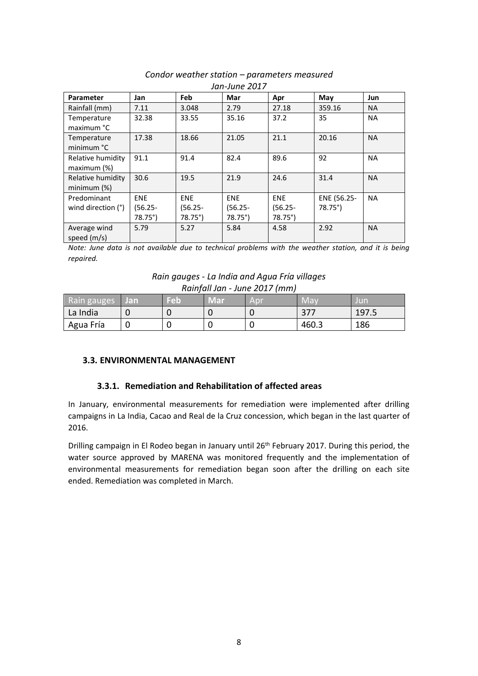| Jan-June 2017                     |                                             |                                             |                                             |                                     |                                |           |  |  |  |
|-----------------------------------|---------------------------------------------|---------------------------------------------|---------------------------------------------|-------------------------------------|--------------------------------|-----------|--|--|--|
| <b>Parameter</b>                  | Jan                                         | Feb                                         | Mar                                         | Apr                                 | May                            | Jun       |  |  |  |
| Rainfall (mm)                     | 7.11                                        | 3.048                                       | 2.79                                        | 27.18                               | 359.16                         | <b>NA</b> |  |  |  |
| Temperature<br>maximum °C         | 32.38                                       | 33.55                                       | 35.16                                       | 37.2                                | 35                             | <b>NA</b> |  |  |  |
| Temperature<br>minimum °C         | 17.38                                       | 18.66                                       | 21.05                                       | 21.1                                | 20.16                          | <b>NA</b> |  |  |  |
| Relative humidity<br>maximum (%)  | 91.1                                        | 91.4                                        | 82.4                                        | 89.6                                | 92                             | <b>NA</b> |  |  |  |
| Relative humidity<br>minimum (%)  | 30.6                                        | 19.5                                        | 21.9                                        | 24.6                                | 31.4                           | <b>NA</b> |  |  |  |
| Predominant<br>wind direction (°) | <b>ENE</b><br>$(56.25 -$<br>$78.75^{\circ}$ | <b>ENE</b><br>$(56.25 -$<br>$78.75^{\circ}$ | <b>ENE</b><br>$(56.25 -$<br>$78.75^{\circ}$ | <b>ENE</b><br>$(56.25 -$<br>78.75°) | ENE (56.25-<br>$78.75^{\circ}$ | <b>NA</b> |  |  |  |
| Average wind<br>speed $(m/s)$     | 5.79                                        | 5.27                                        | 5.84                                        | 4.58                                | 2.92                           | <b>NA</b> |  |  |  |

# *Condor weather station – parameters measured*

*Note: June data is not available due to technical problems with the weather station, and it is being repaired.*

| Rain gauges - La India and Agua Fría villages |  |
|-----------------------------------------------|--|
| Rainfall Jan - June 2017 (mm)                 |  |

| .<br>.      |     |     |     |     |            |       |  |  |  |  |
|-------------|-----|-----|-----|-----|------------|-------|--|--|--|--|
| Rain gauges | Jan | Feb | Mar | Apı | <b>May</b> | Jur   |  |  |  |  |
| La India    |     |     |     |     | 377        | 197.5 |  |  |  |  |
| Agua Fría   |     |     |     |     | 460.3      | 186   |  |  |  |  |

#### **3.3. ENVIRONMENTAL MANAGEMENT**

#### **3.3.1. Remediation and Rehabilitation of affected areas**

In January, environmental measurements for remediation were implemented after drilling campaigns in La India, Cacao and Real de la Cruz concession, which began in the last quarter of 2016.

Drilling campaign in El Rodeo began in January until 26<sup>th</sup> February 2017. During this period, the water source approved by MARENA was monitored frequently and the implementation of environmental measurements for remediation began soon after the drilling on each site ended. Remediation was completed in March.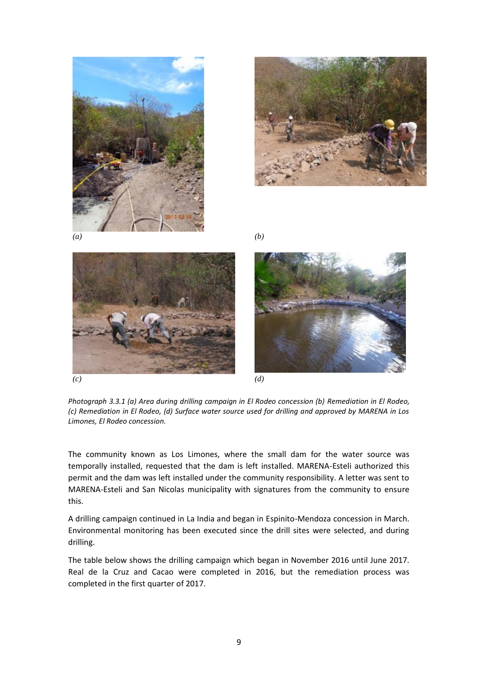









*Photograph 3.3.1 (a) Area during drilling campaign in El Rodeo concession (b) Remediation in El Rodeo, (c) Remediation in El Rodeo, (d) Surface water source used for drilling and approved by MARENA in Los Limones, El Rodeo concession.*

The community known as Los Limones, where the small dam for the water source was temporally installed, requested that the dam is left installed. MARENA-Esteli authorized this permit and the dam was left installed under the community responsibility. A letter was sent to MARENA-Esteli and San Nicolas municipality with signatures from the community to ensure this.

A drilling campaign continued in La India and began in Espinito-Mendoza concession in March. Environmental monitoring has been executed since the drill sites were selected, and during drilling.

The table below shows the drilling campaign which began in November 2016 until June 2017. Real de la Cruz and Cacao were completed in 2016, but the remediation process was completed in the first quarter of 2017.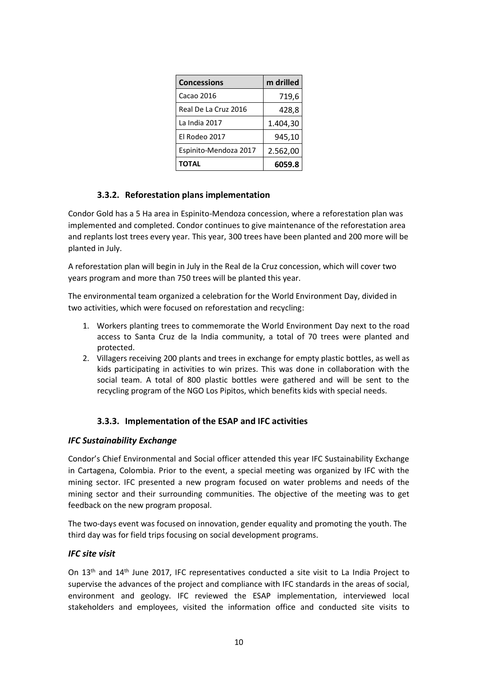| <b>Concessions</b>    | m drilled |
|-----------------------|-----------|
| Cacao 2016            | 719,6     |
| Real De La Cruz 2016  | 428,8     |
| La India 2017         | 1.404,30  |
| El Rodeo 2017         | 945,10    |
| Espinito-Mendoza 2017 | 2.562,00  |
| ΤΟΤΑL                 | 6059.8    |

# **3.3.2. Reforestation plans implementation**

Condor Gold has a 5 Ha area in Espinito-Mendoza concession, where a reforestation plan was implemented and completed. Condor continues to give maintenance of the reforestation area and replants lost trees every year. This year, 300 trees have been planted and 200 more will be planted in July.

A reforestation plan will begin in July in the Real de la Cruz concession, which will cover two years program and more than 750 trees will be planted this year.

The environmental team organized a celebration for the World Environment Day, divided in two activities, which were focused on reforestation and recycling:

- 1. Workers planting trees to commemorate the World Environment Day next to the road access to Santa Cruz de la India community, a total of 70 trees were planted and protected.
- 2. Villagers receiving 200 plants and trees in exchange for empty plastic bottles, as well as kids participating in activities to win prizes. This was done in collaboration with the social team. A total of 800 plastic bottles were gathered and will be sent to the recycling program of the NGO Los Pipitos, which benefits kids with special needs.

#### **3.3.3. Implementation of the ESAP and IFC activities**

#### *IFC Sustainability Exchange*

Condor's Chief Environmental and Social officer attended this year IFC Sustainability Exchange in Cartagena, Colombia. Prior to the event, a special meeting was organized by IFC with the mining sector. IFC presented a new program focused on water problems and needs of the mining sector and their surrounding communities. The objective of the meeting was to get feedback on the new program proposal.

The two-days event was focused on innovation, gender equality and promoting the youth. The third day was for field trips focusing on social development programs.

#### *IFC site visit*

On 13th and 14th June 2017, IFC representatives conducted a site visit to La India Project to supervise the advances of the project and compliance with IFC standards in the areas of social, environment and geology. IFC reviewed the ESAP implementation, interviewed local stakeholders and employees, visited the information office and conducted site visits to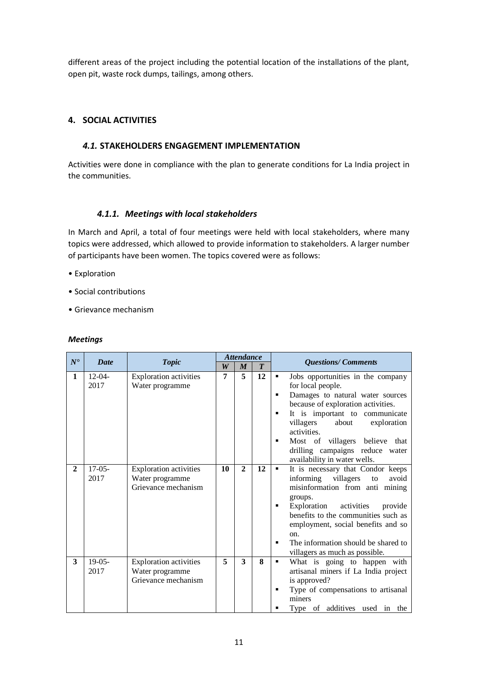different areas of the project including the potential location of the installations of the plant, open pit, waste rock dumps, tailings, among others.

# **4. SOCIAL ACTIVITIES**

#### *4.1.* **STAKEHOLDERS ENGAGEMENT IMPLEMENTATION**

Activities were done in compliance with the plan to generate conditions for La India project in the communities.

### *4.1.1. Meetings with local stakeholders*

In March and April, a total of four meetings were held with local stakeholders, where many topics were addressed, which allowed to provide information to stakeholders. A larger number of participants have been women. The topics covered were as follows:

- Exploration
- Social contributions
- Grievance mechanism

#### *Meetings*

| $N^{\bullet}$ | <b>Date</b>         | <b>Topic</b>                                                            |                  | <b>Attendance</b>       |                  | <b>Questions/Comments</b>                                                                                                                                                                                                                                                                                                                                                                           |
|---------------|---------------------|-------------------------------------------------------------------------|------------------|-------------------------|------------------|-----------------------------------------------------------------------------------------------------------------------------------------------------------------------------------------------------------------------------------------------------------------------------------------------------------------------------------------------------------------------------------------------------|
|               |                     |                                                                         | $\boldsymbol{W}$ | $\boldsymbol{M}$        | $\boldsymbol{T}$ |                                                                                                                                                                                                                                                                                                                                                                                                     |
| 1             | $12 - 04 -$<br>2017 | <b>Exploration activities</b><br>Water programme                        | 7                | $\overline{\mathbf{5}}$ | 12               | Jobs opportunities in the company<br>٠<br>for local people.<br>Damages to natural water sources<br>$\blacksquare$<br>because of exploration activities.<br>It is important to communicate<br>٠<br>villagers<br>about<br>exploration<br>activities.<br>Most of villagers believe that<br>٠<br>drilling campaigns reduce water                                                                        |
| $\mathbf{2}$  | $17-05-$<br>2017    | <b>Exploration activities</b><br>Water programme<br>Grievance mechanism | 10               | $\mathbf{2}$            | 12               | availability in water wells.<br>It is necessary that Condor keeps<br>$\blacksquare$<br>informing<br>villagers<br>avoid<br>to<br>misinformation from anti mining<br>groups.<br>Exploration activities<br>provide<br>٠<br>benefits to the communities such as<br>employment, social benefits and so<br>on.<br>The information should be shared to<br>$\blacksquare$<br>villagers as much as possible. |
| 3             | $19-05-$<br>2017    | <b>Exploration activities</b><br>Water programme<br>Grievance mechanism | 5                | 3                       | 8                | What is going to happen with<br>٠<br>artisanal miners if La India project<br>is approved?<br>Type of compensations to artisanal<br>п<br>miners<br>Type of additives used in the                                                                                                                                                                                                                     |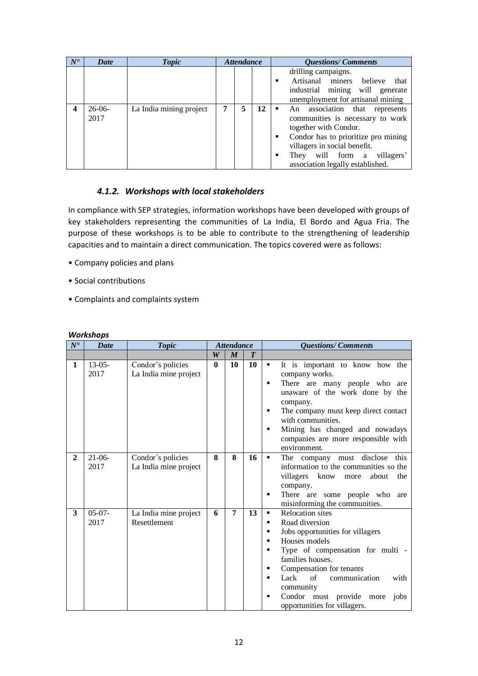| $N^{\bullet}$ | <b>Date</b>      | <b>Topic</b>            |   | <b>Attendance</b> |    | <b>Questions/Comments</b>                                                                                                                                                                                                                          |
|---------------|------------------|-------------------------|---|-------------------|----|----------------------------------------------------------------------------------------------------------------------------------------------------------------------------------------------------------------------------------------------------|
|               |                  |                         |   |                   |    | drilling campaigns.<br>Artisanal miners<br>believe<br>that<br>٠<br>industrial mining will generate<br>unemployment for artisanal mining                                                                                                            |
|               | $26-06-$<br>2017 | La India mining project | 7 | 5                 | 12 | An association that<br>represents<br>communities is necessary to work<br>together with Condor.<br>Condor has to prioritize pro mining<br>٠<br>villagers in social benefit.<br>They will form a villagers'<br>٠<br>association legally established. |

# *4.1.2. Workshops with local stakeholders*

In compliance with SEP strategies, information workshops have been developed with groups of key stakeholders representing the communities of La India, El Bordo and Agua Fria. The purpose of these workshops is to be able to contribute to the strengthening of leadership capacities and to maintain a direct communication. The topics covered were as follows:

- Company policies and plans
- Social contributions
- Complaints and complaints system

| $N^{\bullet}$ | <b>Date</b>      | <b>Topic</b>                               |                  | <b>Attendance</b> |                  | <b>Questions/Comments</b>                                                                                                                                                                                                                                                                                                                                  |
|---------------|------------------|--------------------------------------------|------------------|-------------------|------------------|------------------------------------------------------------------------------------------------------------------------------------------------------------------------------------------------------------------------------------------------------------------------------------------------------------------------------------------------------------|
|               |                  |                                            | $\boldsymbol{W}$ | $\boldsymbol{M}$  | $\boldsymbol{T}$ |                                                                                                                                                                                                                                                                                                                                                            |
| 1             | $13-05-$<br>2017 | Condor's policies<br>La India mine project | $\mathbf{0}$     | 10                | 10               | It is important to know how the<br>٠<br>company works.<br>There are many people who are<br>٠<br>unaware of the work done by the<br>company.<br>The company must keep direct contact<br>٠<br>with communities.<br>Mining has changed and nowadays<br>٠<br>companies are more responsible with<br>environment.                                               |
| $\mathbf{2}$  | $21-06-$<br>2017 | Condor's policies<br>La India mine project | 8                | 8                 | 16               | The company must disclose<br>this<br>٠<br>information to the communities so the<br>villagers<br>know more<br>about<br>the<br>company.<br>There are some people who<br>٠<br>are<br>misinforming the communities.                                                                                                                                            |
| 3             | $05-07-$<br>2017 | La India mine project<br>Resettlement      | 6                | 7                 | 13               | <b>Relocation</b> sites<br>$\blacksquare$<br>Road diversion<br>п<br>Jobs opportunities for villagers<br>п<br>Houses models<br>٠<br>Type of compensation for multi -<br>٠<br>families houses.<br>Compensation for tenants<br>٠<br>Lack<br>of<br>communication<br>with<br>п<br>community<br>Condor must provide more<br>jobs<br>opportunities for villagers. |

#### *Workshops*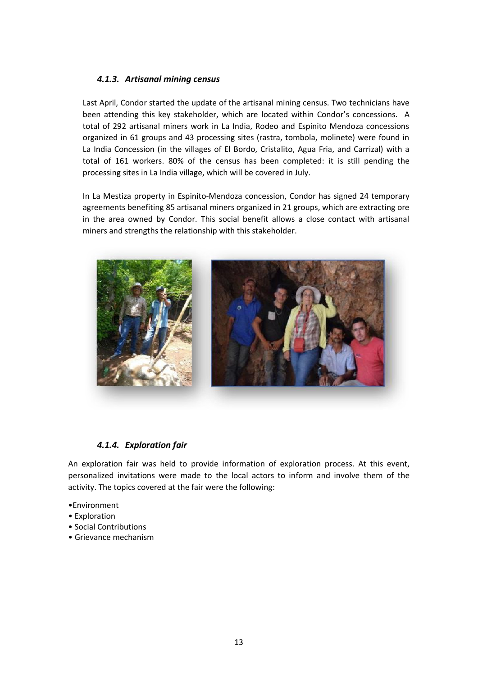### *4.1.3. Artisanal mining census*

Last April, Condor started the update of the artisanal mining census. Two technicians have been attending this key stakeholder, which are located within Condor's concessions. A total of 292 artisanal miners work in La India, Rodeo and Espinito Mendoza concessions organized in 61 groups and 43 processing sites (rastra, tombola, molinete) were found in La India Concession (in the villages of El Bordo, Cristalito, Agua Fria, and Carrizal) with a total of 161 workers. 80% of the census has been completed: it is still pending the processing sites in La India village, which will be covered in July.

In La Mestiza property in Espinito-Mendoza concession, Condor has signed 24 temporary agreements benefiting 85 artisanal miners organized in 21 groups, which are extracting ore in the area owned by Condor. This social benefit allows a close contact with artisanal miners and strengths the relationship with this stakeholder.



#### *4.1.4. Exploration fair*

An exploration fair was held to provide information of exploration process. At this event, personalized invitations were made to the local actors to inform and involve them of the activity. The topics covered at the fair were the following:

- •Environment
- Exploration
- Social Contributions
- Grievance mechanism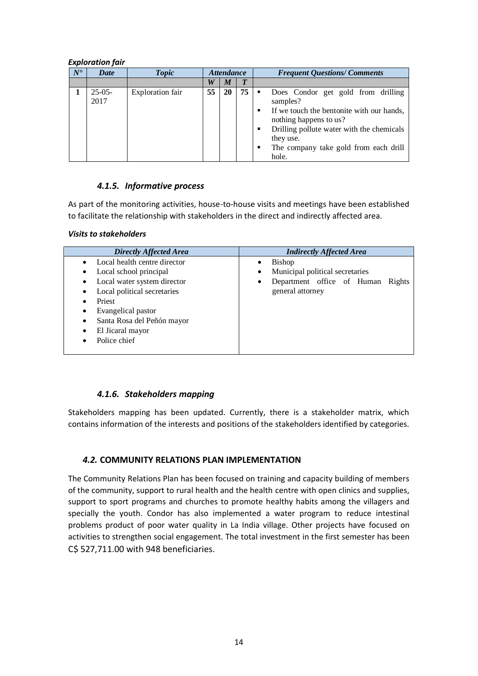#### *Exploration fair*

| $N^{\bullet}$ | <b>Date</b>      | <b>Topic</b>            | <b>Attendance</b> |    |                  | <b>Frequent Questions/Comments</b>                                                                                                                                                                                                |
|---------------|------------------|-------------------------|-------------------|----|------------------|-----------------------------------------------------------------------------------------------------------------------------------------------------------------------------------------------------------------------------------|
|               |                  |                         | W                 | M  | $\boldsymbol{T}$ |                                                                                                                                                                                                                                   |
|               | $25-05-$<br>2017 | <b>Exploration fair</b> | 55                | 20 | 75               | Does Condor get gold from drilling<br>samples?<br>If we touch the bentonite with our hands,<br>nothing happens to us?<br>Drilling pollute water with the chemicals<br>they use.<br>The company take gold from each drill<br>hole. |

#### *4.1.5. Informative process*

As part of the monitoring activities, house-to-house visits and meetings have been established to facilitate the relationship with stakeholders in the direct and indirectly affected area.

#### *Visits to stakeholders*

| <b>Directly Affected Area</b>                                                                                                                                                                                                                                                                                               | <b>Indirectly Affected Area</b>                                                                                                          |
|-----------------------------------------------------------------------------------------------------------------------------------------------------------------------------------------------------------------------------------------------------------------------------------------------------------------------------|------------------------------------------------------------------------------------------------------------------------------------------|
| Local health centre director<br>$\bullet$<br>Local school principal<br>$\bullet$<br>Local water system director<br>$\bullet$<br>Local political secretaries<br>$\bullet$<br>Priest<br>٠<br>Evangelical pastor<br>٠<br>Santa Rosa del Peñón mayor<br>$\bullet$<br>El Jicaral mayor<br>$\bullet$<br>Police chief<br>$\bullet$ | <b>Bishop</b><br>$\bullet$<br>Municipal political secretaries<br>٠<br>Department office of Human Rights<br>$\bullet$<br>general attorney |

#### *4.1.6. Stakeholders mapping*

Stakeholders mapping has been updated. Currently, there is a stakeholder matrix, which contains information of the interests and positions of the stakeholders identified by categories.

#### *4.2.* **COMMUNITY RELATIONS PLAN IMPLEMENTATION**

The Community Relations Plan has been focused on training and capacity building of members of the community, support to rural health and the health centre with open clinics and supplies, support to sport programs and churches to promote healthy habits among the villagers and specially the youth. Condor has also implemented a water program to reduce intestinal problems product of poor water quality in La India village. Other projects have focused on activities to strengthen social engagement. The total investment in the first semester has been C\$ 527,711.00 with 948 beneficiaries.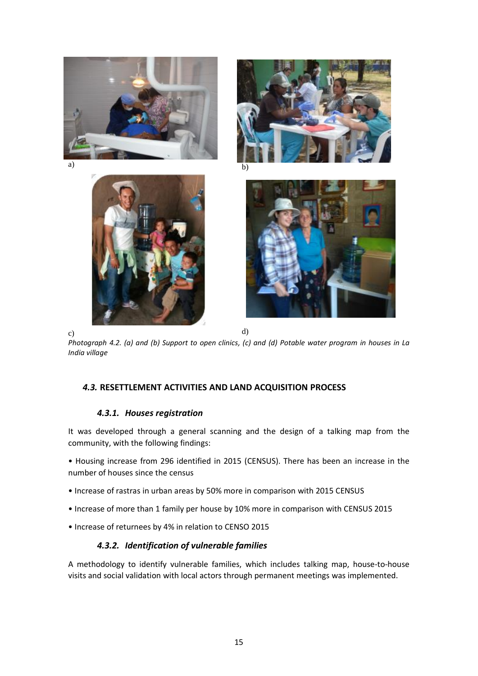

c)  $\qquad \qquad d)$ *Photograph 4.2. (a) and (b) Support to open clinics, (c) and (d) Potable water program in houses in La India village*

# *4.3.* **RESETTLEMENT ACTIVITIES AND LAND ACQUISITION PROCESS**

# *4.3.1. Houses registration*

It was developed through a general scanning and the design of a talking map from the community, with the following findings:

• Housing increase from 296 identified in 2015 (CENSUS). There has been an increase in the number of houses since the census

- Increase of rastras in urban areas by 50% more in comparison with 2015 CENSUS
- Increase of more than 1 family per house by 10% more in comparison with CENSUS 2015
- Increase of returnees by 4% in relation to CENSO 2015

# *4.3.2. Identification of vulnerable families*

A methodology to identify vulnerable families, which includes talking map, house-to-house visits and social validation with local actors through permanent meetings was implemented.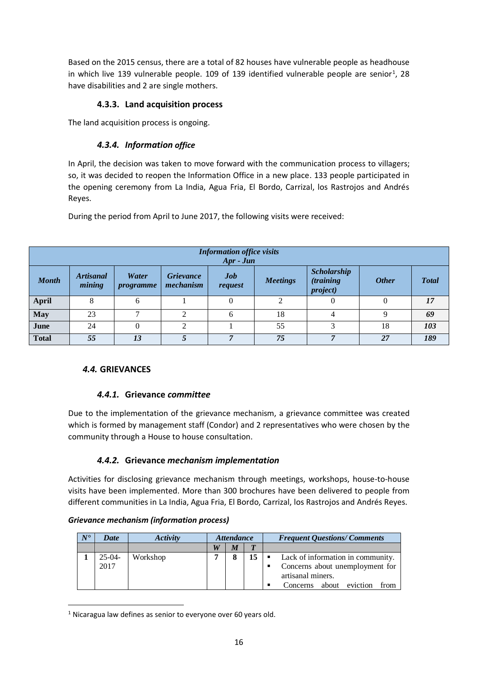Based on the 2015 census, there are a total of 82 houses have vulnerable people as headhouse in which live 139 vulnerable people. 109 of 139 identified vulnerable people are senior<sup>1</sup>, 28 have disabilities and 2 are single mothers.

# **4.3.3. Land acquisition process**

The land acquisition process is ongoing.

# *4.3.4. Information office*

In April, the decision was taken to move forward with the communication process to villagers; so, it was decided to reopen the Information Office in a new place. 133 people participated in the opening ceremony from La India, Agua Fria, El Bordo, Carrizal, los Rastrojos and Andrés Reyes.

During the period from April to June 2017, the following visits were received:

|              | <b>Information office visits</b><br>$Apr - Jun$ |                           |                               |                       |                 |                                                             |              |              |  |  |  |  |
|--------------|-------------------------------------------------|---------------------------|-------------------------------|-----------------------|-----------------|-------------------------------------------------------------|--------------|--------------|--|--|--|--|
| <b>Month</b> | <b>Artisanal</b><br>mining                      | Water<br><i>programme</i> | <b>Grievance</b><br>mechanism | <b>Job</b><br>request | <b>Meetings</b> | <b>Scholarship</b><br><i>(training)</i><br><i>project</i> ) | <b>Other</b> | <b>Total</b> |  |  |  |  |
| <b>April</b> | 8                                               | 6                         |                               |                       |                 |                                                             |              | 17           |  |  |  |  |
| <b>May</b>   | 23                                              | −                         | ◠                             | 6                     | 18              |                                                             | Q            | 69           |  |  |  |  |
| June         | 24                                              |                           | ↑                             |                       | 55              | 3                                                           | 18           | 103          |  |  |  |  |
| <b>Total</b> | 55                                              | 13                        |                               | 7                     | 75              |                                                             | 27           | 189          |  |  |  |  |

# *4.4.* **GRIEVANCES**

.

# *4.4.1.* **Grievance** *committee*

Due to the implementation of the grievance mechanism, a grievance committee was created which is formed by management staff (Condor) and 2 representatives who were chosen by the community through a House to house consultation.

# *4.4.2.* **Grievance** *mechanism implementation*

Activities for disclosing grievance mechanism through meetings, workshops, house-to-house visits have been implemented. More than 300 brochures have been delivered to people from different communities in La India, Agua Fria, El Bordo, Carrizal, los Rastrojos and Andrés Reyes.

#### *Grievance mechanism (information process)*

| $N^{\bullet}$ | <b>Date</b>      | Activity | <i><b>Attendance</b></i> |   |              | <b>Frequent Questions/Comments</b>                                                                                           |  |  |
|---------------|------------------|----------|--------------------------|---|--------------|------------------------------------------------------------------------------------------------------------------------------|--|--|
|               |                  |          | W                        | M | $\mathbf{m}$ |                                                                                                                              |  |  |
|               | $25-04-$<br>2017 | Workshop | 7                        | 8 | 15           | Lack of information in community.<br>Concerns about unemployment for<br>artisanal miners.<br>Concerns about eviction<br>from |  |  |

<sup>&</sup>lt;sup>1</sup> Nicaragua law defines as senior to everyone over 60 years old.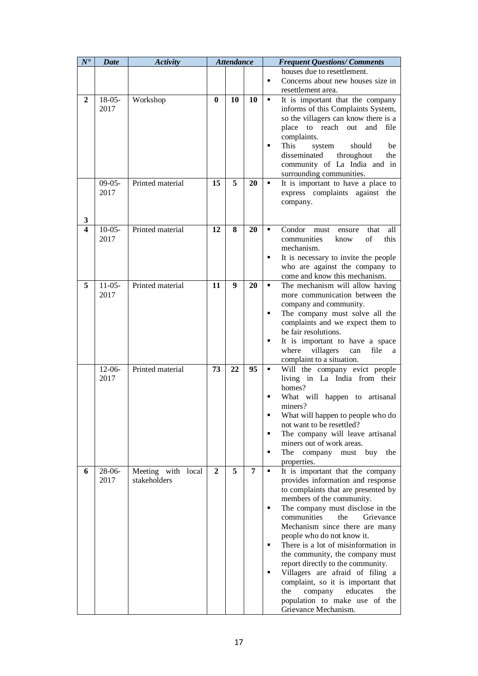| $N^{\bullet}$ | Date             | <b>Activity</b>                    |                | <b>Attendance</b> |    |                  | <b>Frequent Questions/Comments</b>                                                                                                                                                                                                                                                                                                                                                                                                                                                                                                                                      |
|---------------|------------------|------------------------------------|----------------|-------------------|----|------------------|-------------------------------------------------------------------------------------------------------------------------------------------------------------------------------------------------------------------------------------------------------------------------------------------------------------------------------------------------------------------------------------------------------------------------------------------------------------------------------------------------------------------------------------------------------------------------|
|               |                  |                                    |                |                   |    | ٠                | houses due to resettlement.<br>Concerns about new houses size in<br>resettlement area.                                                                                                                                                                                                                                                                                                                                                                                                                                                                                  |
| 2             | $18-05-$<br>2017 | Workshop                           | $\bf{0}$       | 10                | 10 | ٠<br>٠           | It is important that the company<br>informs of this Complaints System,<br>so the villagers can know there is a<br>place to reach out<br>and<br>file<br>complaints.<br>This<br>should<br>be<br>system<br>disseminated<br>throughout<br>the<br>community of La India and in<br>surrounding communities.                                                                                                                                                                                                                                                                   |
| 3             | $09-05-$<br>2017 | Printed material                   | 15             | 5                 | 20 | ٠                | It is important to have a place to<br>express complaints against the<br>company.                                                                                                                                                                                                                                                                                                                                                                                                                                                                                        |
| 4             | $10-05-$<br>2017 | Printed material                   | 12             | 8                 | 20 | g,<br>٠          | Condor<br>that<br>all<br>must<br>ensure<br>communities<br>of<br>this<br>know<br>mechanism.<br>It is necessary to invite the people<br>who are against the company to<br>come and know this mechanism.                                                                                                                                                                                                                                                                                                                                                                   |
| 5             | $11-05-$<br>2017 | Printed material                   | 11             | 9                 | 20 | ×<br>٠<br>٠      | The mechanism will allow having<br>more communication between the<br>company and community.<br>The company must solve all the<br>complaints and we expect them to<br>be fair resolutions.<br>It is important to have a space<br>where villagers<br>can<br>file<br>a<br>complaint to a situation.                                                                                                                                                                                                                                                                        |
|               | $12-06-$<br>2017 | Printed material                   | 73             | 22                | 95 | ٠<br>٠<br>п<br>٠ | Will the company evict people<br>living in La India from their<br>homes?<br>What will happen to artisanal<br>miners?<br>What will happen to people who do<br>not want to be resettled?<br>The company will leave artisanal<br>miners out of work areas.<br>must buy<br>The company<br>the<br>properties.                                                                                                                                                                                                                                                                |
| 6             | $28-06-$<br>2017 | Meeting with local<br>stakeholders | $\overline{2}$ | 5                 | 7  | ×<br>٠<br>٠      | It is important that the company<br>provides information and response<br>to complaints that are presented by<br>members of the community.<br>The company must disclose in the<br>communities<br>the<br>Grievance<br>Mechanism since there are many<br>people who do not know it.<br>There is a lot of misinformation in<br>the community, the company must<br>report directly to the community.<br>Villagers are afraid of filing a<br>complaint, so it is important that<br>the<br>company<br>educates<br>the<br>population to make use of the<br>Grievance Mechanism. |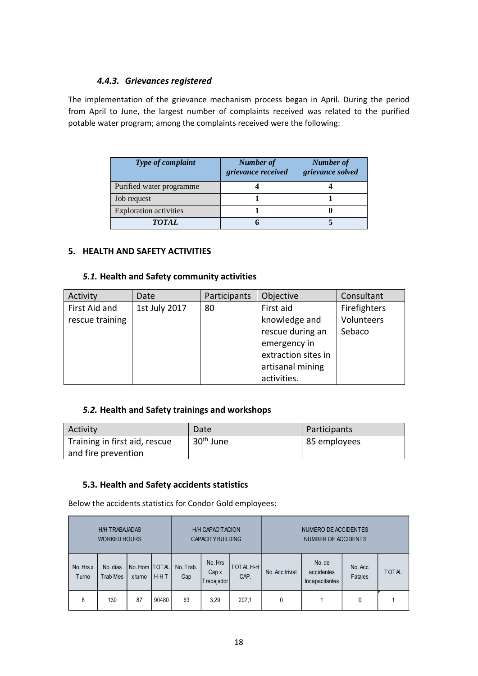# *4.4.3. Grievances registered*

The implementation of the grievance mechanism process began in April. During the period from April to June, the largest number of complaints received was related to the purified potable water program; among the complaints received were the following:

| Type of complaint             | Number of<br>grievance received | Number of<br>grievance solved |
|-------------------------------|---------------------------------|-------------------------------|
| Purified water programme      |                                 |                               |
| Job request                   |                                 |                               |
| <b>Exploration activities</b> |                                 |                               |
| TOTAL.                        |                                 |                               |

# **5. HEALTH AND SAFETY ACTIVITIES**

#### *5.1.* **Health and Safety community activities**

| Activity        | Date          | Participants | Objective           | Consultant   |
|-----------------|---------------|--------------|---------------------|--------------|
| First Aid and   | 1st July 2017 | 80           | First aid           | Firefighters |
| rescue training |               |              | knowledge and       | Volunteers   |
|                 |               |              | rescue during an    | Sebaco       |
|                 |               |              | emergency in        |              |
|                 |               |              | extraction sites in |              |
|                 |               |              | artisanal mining    |              |
|                 |               |              | activities.         |              |

# *5.2.* **Health and Safety trainings and workshops**

| <b>Activity</b>               | Date                  | Participants |
|-------------------------------|-----------------------|--------------|
| Training in first aid, rescue | 30 <sup>th</sup> June | 85 employees |
| and fire prevention           |                       |              |

### **5.3. Health and Safety accidents statistics**

Below the accidents statistics for Condor Gold employees:

|                    | <b>H/H TRABAJADAS</b><br><b>WORKED HOURS</b> |                            | <b>H/H CAPACIT ACION</b><br><b>CAPACITY BUILDING</b> |                  | NUMERO DE ACCIDENTES<br>NUMBER OF ACCIDENTS |                          |                 |                                        |                    |              |
|--------------------|----------------------------------------------|----------------------------|------------------------------------------------------|------------------|---------------------------------------------|--------------------------|-----------------|----------------------------------------|--------------------|--------------|
| No. Hrs x<br>Turno | No. dias<br>Trab Mes                         | No. Hom   TOTAL<br>x turno | $H-HT$                                               | No. Trab.<br>Cap | No. Hrs<br>Cap x<br>rabajador               | <b>TOTAL H-H</b><br>CAP. | No. Acc trivial | No. de<br>accidentes<br>Incapacitantes | No. Acc<br>Fatales | <b>TOTAL</b> |
| 8                  | 130                                          | 87                         | 90480                                                | 63               | 3,29                                        | 207,1                    | 0               |                                        | 0                  |              |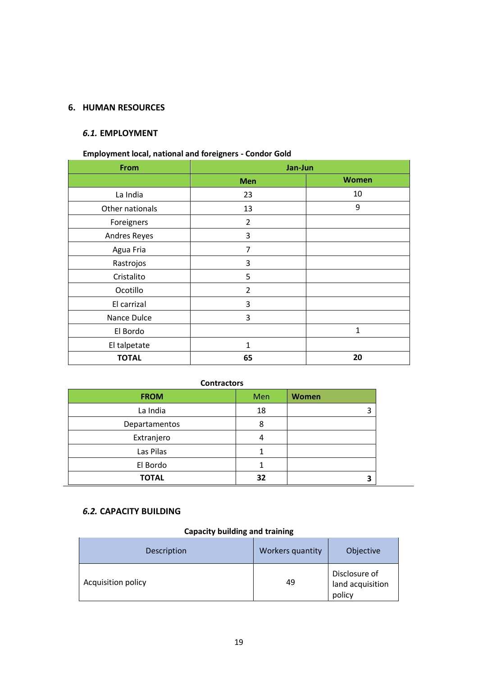# **6. HUMAN RESOURCES**

# *6.1.* **EMPLOYMENT**

# **Employment local, national and foreigners - Condor Gold**

| <b>From</b>     | Jan-Jun        |              |  |
|-----------------|----------------|--------------|--|
|                 | <b>Men</b>     | <b>Women</b> |  |
| La India        | 23             | 10           |  |
| Other nationals | 13             | 9            |  |
| Foreigners      | $\overline{2}$ |              |  |
| Andres Reyes    | 3              |              |  |
| Agua Fria       | 7              |              |  |
| Rastrojos       | 3              |              |  |
| Cristalito      | 5              |              |  |
| Ocotillo        | $\overline{2}$ |              |  |
| El carrizal     | 3              |              |  |
| Nance Dulce     | 3              |              |  |
| El Bordo        |                | $\mathbf{1}$ |  |
| El talpetate    | 1              |              |  |
| <b>TOTAL</b>    | 65             | 20           |  |

### **Contractors**

| <b>FROM</b>   | Men | Women |
|---------------|-----|-------|
| La India      | 18  | 3     |
| Departamentos | 8   |       |
| Extranjero    | 4   |       |
| Las Pilas     |     |       |
| El Bordo      |     |       |
| <b>TOTAL</b>  | 32  |       |

#### *6.2.* **CAPACITY BUILDING**

# **Capacity building and training**

| Description        | Workers quantity | Objective                                   |
|--------------------|------------------|---------------------------------------------|
| Acquisition policy | 49               | Disclosure of<br>land acquisition<br>policy |